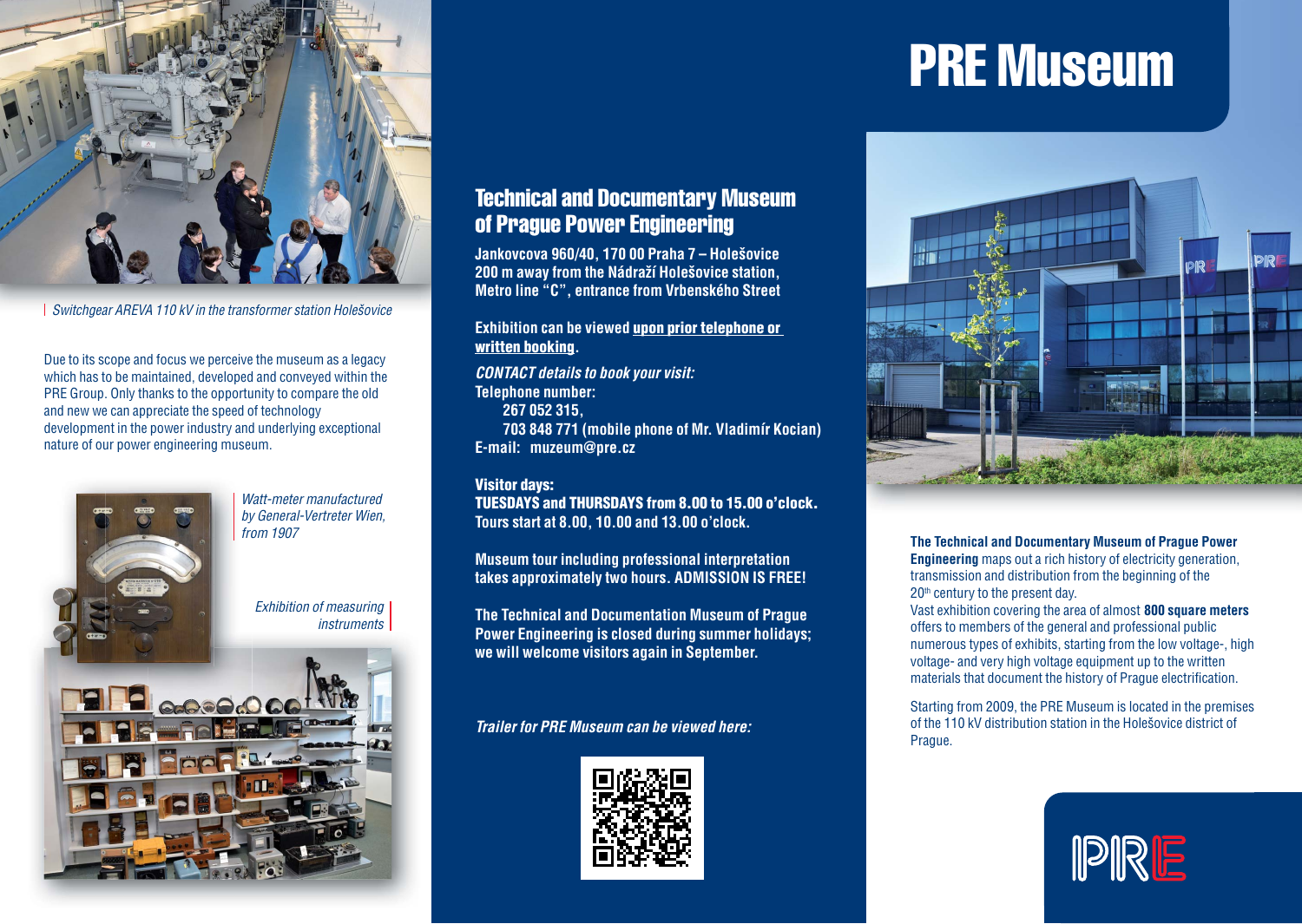

Switchgear AREVA 110 kV in the transformer station Holešovice

Due to its scope and focus we perceive the museum as a legacy which has to be maintained, developed and conveyed within the PRE Group. Only thanks to the opportunity to compare the old and new we can appreciate the speed of technology development in the power industry and underlying exceptional nature of our power engineering museum.



# Technical and Documentary Museum of Prague Power Engineering

**Jankovcova 960/40, 170 00 Praha 7 – Holešovice 200 m away from the Nádraží Holešovice station, Metro line "C", entrance from Vrbenského Street**

# **Exhibition can be viewed upon prior telephone or written booking.**

*CONTACT details to book your visit:* **Telephone number: 267 052 315, 703 848 771 (mobile phone of Mr. Vladimír Kocian) E-mail: muzeum@pre.cz**

### **Visitor days:**

**TUESDAYS and THURSDAYS from 8.00 to 15.00 o'clock. Tours start at 8.00, 10.00 and 13.00 o'clock.**

**Museum tour including professional interpretation takes approximately two hours. ADMISSION IS FREE!**

**The Technical and Documentation Museum of Prague Power Engineering is closed during summer holidays; we will welcome visitors again in September.** 

## *Trailer for PRE Museum can be viewed here:*



# PRE Museum



#### **The Technical and Documentary Museum of Prague Power Engineering** maps out a rich history of electricity generation,

transmission and distribution from the beginning of the 20<sup>th</sup> century to the present day.

Vast exhibition covering the area of almost **800 square meters** offers to members of the general and professional public numerous types of exhibits, starting from the low voltage-, high voltage- and very high voltage equipment up to the written materials that document the history of Prague electrification.

Starting from 2009, the PRE Museum is located in the premises of the 110 kV distribution station in the Holešovice district of Prague.